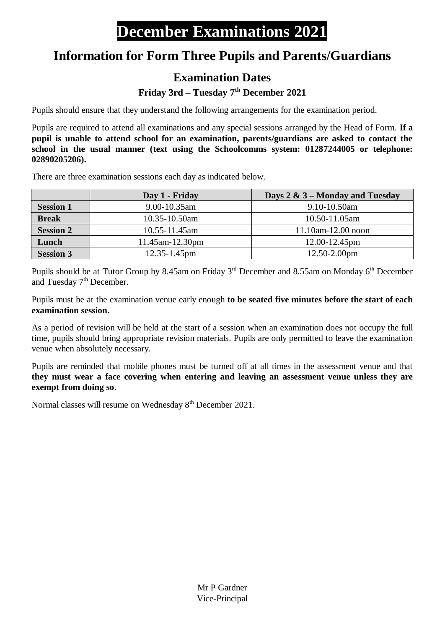## **Information for Form Three Pupils and Parents/Guardians**

## **Examination Dates**

## **Friday 3rd – Tuesday 7th December 2021**

Pupils should ensure that they understand the following arrangements for the examination period.

Pupils are required to attend all examinations and any special sessions arranged by the Head of Form. **If a pupil is unable to attend school for an examination, parents/guardians are asked to contact the school in the usual manner (text using the Schoolcomms system: 01287244005 or telephone: 02890205206).**

There are three examination sessions each day as indicated below.

|                  | Day 1 - Friday                            | Days $2 \& 3$ – Monday and Tuesday |
|------------------|-------------------------------------------|------------------------------------|
| <b>Session 1</b> | $9.00 - 10.35$ am                         | 9.10-10.50am                       |
| <b>Break</b>     | 10.35-10.50am<br>$10.50 - 11.05$ am       |                                    |
| <b>Session 2</b> | $11.10$ am- $12.00$ noon<br>10.55-11.45am |                                    |
| Lunch            | 11.45am-12.30pm                           | 12.00-12.45pm                      |
| <b>Session 3</b> | $12.35 - 1.45$ pm                         | $12.50 - 2.00$ pm                  |

Pupils should be at Tutor Group by 8.45am on Friday 3<sup>rd</sup> December and 8.55am on Monday 6<sup>th</sup> December and Tuesday  $7<sup>th</sup>$  December.

Pupils must be at the examination venue early enough **to be seated five minutes before the start of each examination session.**

As a period of revision will be held at the start of a session when an examination does not occupy the full time, pupils should bring appropriate revision materials. Pupils are only permitted to leave the examination venue when absolutely necessary.

Pupils are reminded that mobile phones must be turned off at all times in the assessment venue and that **they must wear a face covering when entering and leaving an assessment venue unless they are exempt from doing so**.

Normal classes will resume on Wednesday  $8<sup>th</sup>$  December 2021.